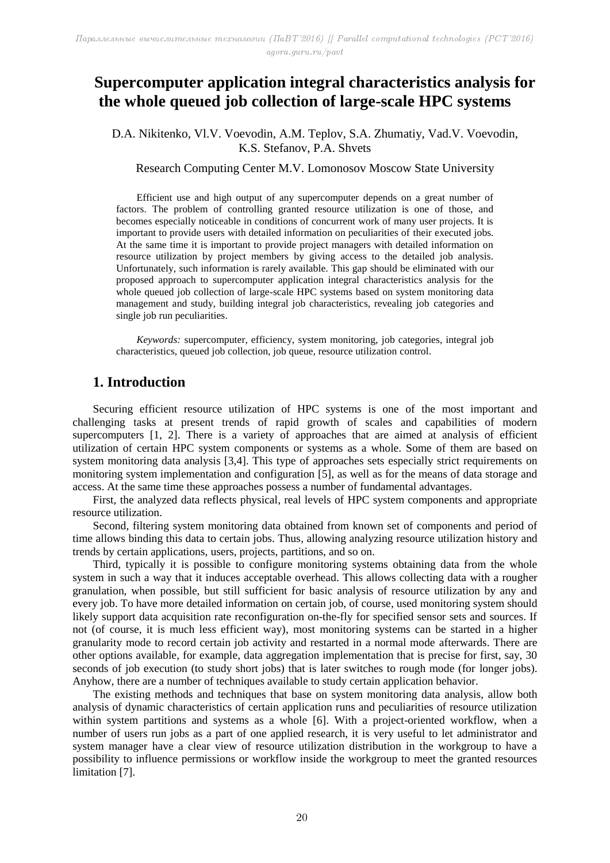# **Supercomputer application integral characteristics analysis for the whole queued job collection of large-scale HPC systems**

D.A. Nikitenko, Vl.V. Voevodin, A.M. Teplov, S.A. Zhumatiy, Vad.V. Voevodin, K.S. Stefanov, P.A. Shvets

Research Computing Center M.V. Lomonosov Moscow State University

Efficient use and high output of any supercomputer depends on a great number of factors. The problem of controlling granted resource utilization is one of those, and becomes especially noticeable in conditions of concurrent work of many user projects. It is important to provide users with detailed information on peculiarities of their executed jobs. At the same time it is important to provide project managers with detailed information on resource utilization by project members by giving access to the detailed job analysis. Unfortunately, such information is rarely available. This gap should be eliminated with our proposed approach to supercomputer application integral characteristics analysis for the whole queued job collection of large-scale HPC systems based on system monitoring data management and study, building integral job characteristics, revealing job categories and single job run peculiarities.

*Keywords:* supercomputer, efficiency, system monitoring, job categories, integral job characteristics, queued job collection, job queue, resource utilization control.

## **1. Introduction**

Securing efficient resource utilization of HPC systems is one of the most important and challenging tasks at present trends of rapid growth of scales and capabilities of modern supercomputers [1, 2]. There is a variety of approaches that are aimed at analysis of efficient utilization of certain HPC system components or systems as a whole. Some of them are based on system monitoring data analysis [3,4]. This type of approaches sets especially strict requirements on monitoring system implementation and configuration [5], as well as for the means of data storage and access. At the same time these approaches possess a number of fundamental advantages.

First, the analyzed data reflects physical, real levels of HPC system components and appropriate resource utilization.

Second, filtering system monitoring data obtained from known set of components and period of time allows binding this data to certain jobs. Thus, allowing analyzing resource utilization history and trends by certain applications, users, projects, partitions, and so on.

Third, typically it is possible to configure monitoring systems obtaining data from the whole system in such a way that it induces acceptable overhead. This allows collecting data with a rougher granulation, when possible, but still sufficient for basic analysis of resource utilization by any and every job. To have more detailed information on certain job, of course, used monitoring system should likely support data acquisition rate reconfiguration on-the-fly for specified sensor sets and sources. If not (of course, it is much less efficient way), most monitoring systems can be started in a higher granularity mode to record certain job activity and restarted in a normal mode afterwards. There are other options available, for example, data aggregation implementation that is precise for first, say, 30 seconds of job execution (to study short jobs) that is later switches to rough mode (for longer jobs). Anyhow, there are a number of techniques available to study certain application behavior.

The existing methods and techniques that base on system monitoring data analysis, allow both analysis of dynamic characteristics of certain application runs and peculiarities of resource utilization within system partitions and systems as a whole [6]. With a project-oriented workflow, when a number of users run jobs as a part of one applied research, it is very useful to let administrator and system manager have a clear view of resource utilization distribution in the workgroup to have a possibility to influence permissions or workflow inside the workgroup to meet the granted resources limitation [7].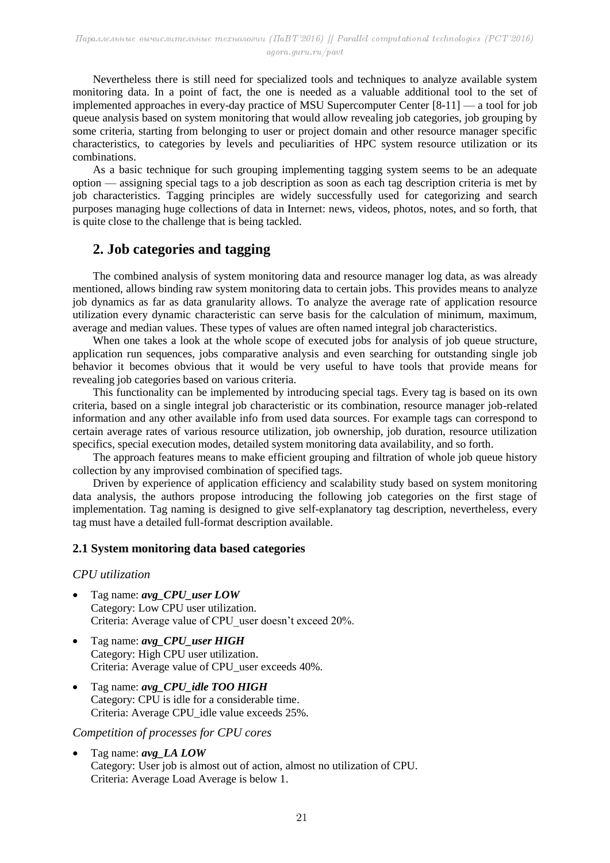Nevertheless there is still need for specialized tools and techniques to analyze available system monitoring data. In a point of fact, the one is needed as a valuable additional tool to the set of implemented approaches in every-day practice of MSU Supercomputer Center [8-11] — a tool for job queue analysis based on system monitoring that would allow revealing job categories, job grouping by some criteria, starting from belonging to user or project domain and other resource manager specific characteristics, to categories by levels and peculiarities of HPC system resource utilization or its combinations.

As a basic technique for such grouping implementing tagging system seems to be an adequate option — assigning special tags to a job description as soon as each tag description criteria is met by job characteristics. Tagging principles are widely successfully used for categorizing and search purposes managing huge collections of data in Internet: news, videos, photos, notes, and so forth, that is quite close to the challenge that is being tackled.

## **2. Job categories and tagging**

The combined analysis of system monitoring data and resource manager log data, as was already mentioned, allows binding raw system monitoring data to certain jobs. This provides means to analyze job dynamics as far as data granularity allows. To analyze the average rate of application resource utilization every dynamic characteristic can serve basis for the calculation of minimum, maximum, average and median values. These types of values are often named integral job characteristics.

When one takes a look at the whole scope of executed jobs for analysis of job queue structure, application run sequences, jobs comparative analysis and even searching for outstanding single job behavior it becomes obvious that it would be very useful to have tools that provide means for revealing job categories based on various criteria.

This functionality can be implemented by introducing special tags. Every tag is based on its own criteria, based on a single integral job characteristic or its combination, resource manager job-related information and any other available info from used data sources. For example tags can correspond to certain average rates of various resource utilization, job ownership, job duration, resource utilization specifics, special execution modes, detailed system monitoring data availability, and so forth.

The approach features means to make efficient grouping and filtration of whole job queue history collection by any improvised combination of specified tags.

Driven by experience of application efficiency and scalability study based on system monitoring data analysis, the authors propose introducing the following job categories on the first stage of implementation. Tag naming is designed to give self-explanatory tag description, nevertheless, every tag must have a detailed full-format description available.

### **2.1 System monitoring data based categories**

### *CPU utilization*

- Tag name: *avg\_CPU\_user LOW* Category: Low CPU user utilization. Criteria: Average value of CPU user doesn't exceed 20%.
- Tag name: *avg\_CPU\_user HIGH* Category: High CPU user utilization. Criteria: Average value of CPU\_user exceeds 40%.
- Tag name: *avg\_CPU\_idle TOO HIGH* Category: CPU is idle for a considerable time. Criteria: Average CPU\_idle value exceeds 25%.

### *Competition of processes for CPU cores*

 Tag name: *avg\_LA LOW* Category: User job is almost out of action, almost no utilization of CPU. Criteria: Average Load Average is below 1.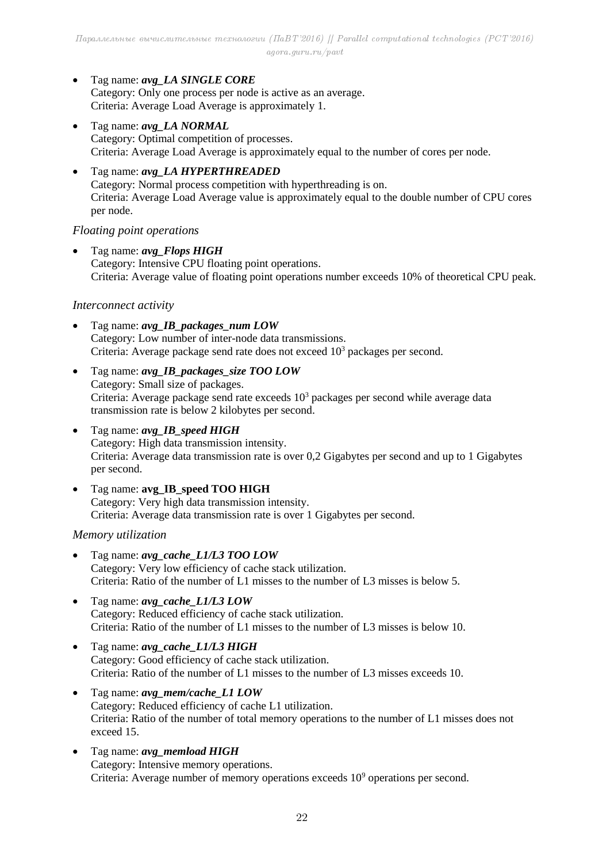Tag name: *avg\_LA SINGLE CORE* Category: Only one process per node is active as an average. Criteria: Average Load Average is approximately 1.

- Tag name: *avg\_LA NORMAL* Category: Optimal competition of processes. Criteria: Average Load Average is approximately equal to the number of cores per node.
- Tag name: *avg\_LA HYPERTHREADED* Category: Normal process competition with hyperthreading is on. Criteria: Average Load Average value is approximately equal to the double number of CPU cores per node.

### *Floating point operations*

 Tag name: *avg\_Flops HIGH* Category: Intensive CPU floating point operations. Criteria: Average value of floating point operations number exceeds 10% of theoretical CPU peak.

## *Interconnect activity*

- Tag name: *avg\_IB\_packages\_num LOW* Category: Low number of inter-node data transmissions. Criteria: Average package send rate does not exceed  $10<sup>3</sup>$  packages per second.
- Tag name: *avg\_IB\_packages\_size TOO LOW* Category: Small size of packages. Criteria: Average package send rate exceeds  $10<sup>3</sup>$  packages per second while average data transmission rate is below 2 kilobytes per second.
- Tag name: *avg\_IB\_speed HIGH* Category: High data transmission intensity. Criteria: Average data transmission rate is over 0,2 Gigabytes per second and up to 1 Gigabytes per second.
- Tag name: **avg\_IB\_speed TOO HIGH** Category: Very high data transmission intensity. Criteria: Average data transmission rate is over 1 Gigabytes per second.

## *Memory utilization*

- Tag name: *avg\_cache\_L1/L3 TOO LOW*  Category: Very low efficiency of cache stack utilization. Criteria: Ratio of the number of L1 misses to the number of L3 misses is below 5.
- Tag name: *avg\_cache\_L1/L3 LOW* Category: Reduced efficiency of cache stack utilization. Criteria: Ratio of the number of L1 misses to the number of L3 misses is below 10.
- Tag name: *avg\_cache\_L1/L3 HIGH* Category: Good efficiency of cache stack utilization. Criteria: Ratio of the number of L1 misses to the number of L3 misses exceeds 10.
- Tag name: *avg\_mem/cache\_L1 LOW* Category: Reduced efficiency of cache L1 utilization. Criteria: Ratio of the number of total memory operations to the number of L1 misses does not exceed 15.
- Tag name: *avg\_memload HIGH* Category: Intensive memory operations. Criteria: Average number of memory operations exceeds 10<sup>9</sup> operations per second.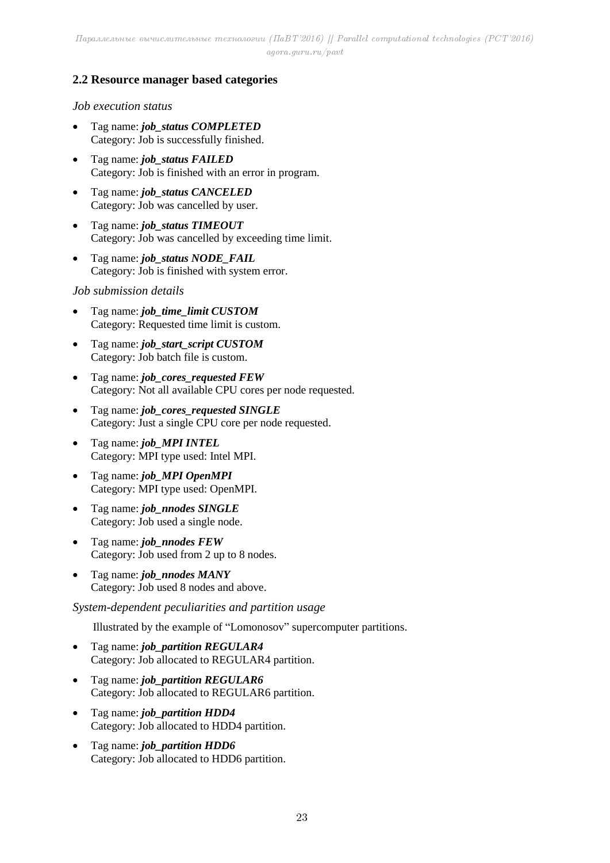## **2.2 Resource manager based categories**

### *Job execution status*

- Tag name: *job\_status COMPLETED* Category: Job is successfully finished.
- Tag name: *job\_status FAILED* Category: Job is finished with an error in program.
- Tag name: *job\_status CANCELED* Category: Job was cancelled by user.
- Tag name: *job\_status TIMEOUT* Category: Job was cancelled by exceeding time limit.
- Tag name: *job\_status NODE\_FAIL* Category: Job is finished with system error.

### *Job submission details*

- Tag name: *job\_time\_limit CUSTOM* Category: Requested time limit is custom.
- Tag name: *job\_start\_script CUSTOM* Category: Job batch file is custom.
- Tag name: *job\_cores\_requested FEW* Category: Not all available CPU cores per node requested.
- Tag name: *job\_cores\_requested SINGLE* Category: Just a single CPU core per node requested.
- Tag name: *job\_MPI INTEL* Category: MPI type used: Intel MPI.
- Tag name: *job\_MPI OpenMPI* Category: MPI type used: OpenMPI.
- Tag name: *job\_nnodes SINGLE* Category: Job used a single node.
- Tag name: *job\_nnodes FEW* Category: Job used from 2 up to 8 nodes.
- Tag name: *job\_nnodes MANY* Category: Job used 8 nodes and above.

*System-dependent peculiarities and partition usage*

Illustrated by the example of "Lomonosov" supercomputer partitions.

- Tag name: *job\_partition REGULAR4* Category: Job allocated to REGULAR4 partition.
- Tag name: *job\_partition REGULAR6* Category: Job allocated to REGULAR6 partition.
- Tag name: *job\_partition HDD4* Category: Job allocated to HDD4 partition.
- Tag name: *job\_partition HDD6* Category: Job allocated to HDD6 partition.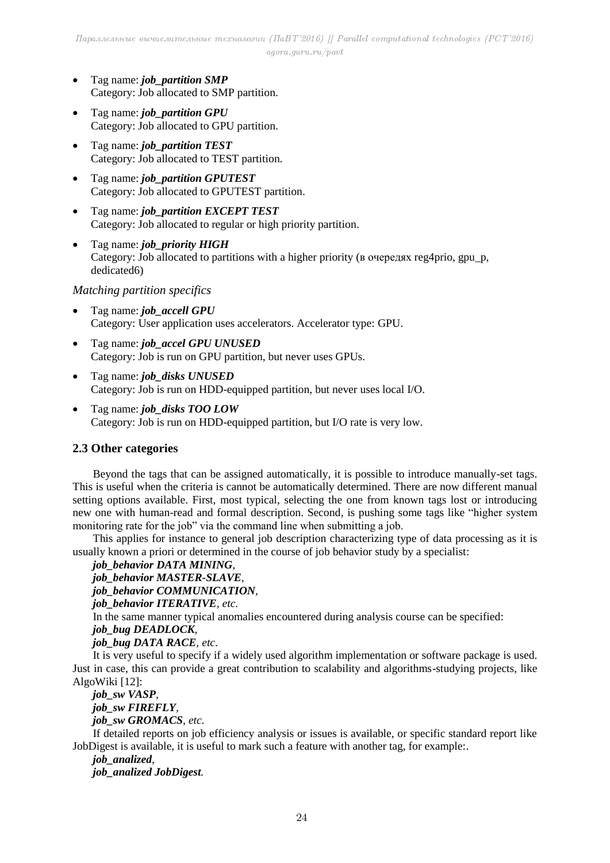- Tag name: *job\_partition SMP* Category: Job allocated to SMP partition.
- Tag name: *job\_partition GPU* Category: Job allocated to GPU partition.
- Tag name: *job\_partition TEST* Category: Job allocated to TEST partition.
- Tag name: *job\_partition GPUTEST* Category: Job allocated to GPUTEST partition.
- Tag name: *job\_partition EXCEPT TEST* Category: Job allocated to regular or high priority partition.
- Tag name: *job\_priority HIGH* Category: Job allocated to partitions with a higher priority (в очередях reg4prio, gpu\_p, dedicated6)

### *Matching partition specifics*

- Tag name: *job\_accell GPU* Category: User application uses accelerators. Accelerator type: GPU.
- Tag name: *job\_accel GPU UNUSED* Category: Job is run on GPU partition, but never uses GPUs.
- Tag name: *job\_disks UNUSED* Category: Job is run on HDD-equipped partition, but never uses local I/O.
- Tag name: *job\_disks TOO LOW* Category: Job is run on HDD-equipped partition, but I/O rate is very low.

### **2.3 Other categories**

Beyond the tags that can be assigned automatically, it is possible to introduce manually-set tags. This is useful when the criteria is cannot be automatically determined. There are now different manual setting options available. First, most typical, selecting the one from known tags lost or introducing new one with human-read and formal description. Second, is pushing some tags like "higher system monitoring rate for the job" via the command line when submitting a job.

This applies for instance to general job description characterizing type of data processing as it is usually known a priori or determined in the course of job behavior study by a specialist:

*job\_behavior DATA MINING,*

```
job_behavior MASTER-SLAVE,
```
*job\_behavior COMMUNICATION,*

```
job_behavior ITERATIVE, etc.
```
In the same manner typical anomalies encountered during analysis course can be specified:

### *job\_bug DEADLOCK,*

*job\_bug DATA RACE, etc*.

It is very useful to specify if a widely used algorithm implementation or software package is used. Just in case, this can provide a great contribution to scalability and algorithms-studying projects, like AlgoWiki [12]:

## *job\_sw VASP, job\_sw FIREFLY,*

*job\_sw GROMACS, etc.*

If detailed reports on job efficiency analysis or issues is available, or specific standard report like JobDigest is available, it is useful to mark such a feature with another tag, for example:.

## *job\_analized, job\_analized JobDigest.*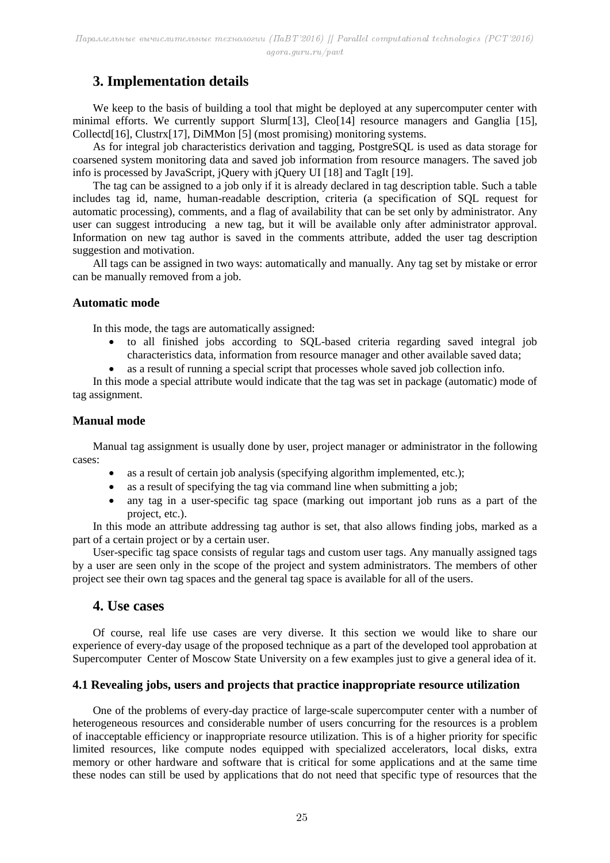# **3. Implementation details**

We keep to the basis of building a tool that might be deployed at any supercomputer center with minimal efforts. We currently support Slurm[13], Cleo[14] resource managers and Ganglia [15], Collectd[16], Clustrx[17], DiMMon [5] (most promising) monitoring systems.

As for integral job characteristics derivation and tagging, PostgreSQL is used as data storage for coarsened system monitoring data and saved job information from resource managers. The saved job info is processed by JavaScript, jQuery with jQuery UI [18] and TagIt [19].

The tag can be assigned to a job only if it is already declared in tag description table. Such a table includes tag id, name, human-readable description, criteria (a specification of SQL request for automatic processing), comments, and a flag of availability that can be set only by administrator. Any user can suggest introducing a new tag, but it will be available only after administrator approval. Information on new tag author is saved in the comments attribute, added the user tag description suggestion and motivation.

All tags can be assigned in two ways: automatically and manually. Any tag set by mistake or error can be manually removed from a job.

#### **Automatic mode**

In this mode, the tags are automatically assigned:

- to all finished jobs according to SQL-based criteria regarding saved integral job characteristics data, information from resource manager and other available saved data;
- as a result of running a special script that processes whole saved job collection info.

In this mode a special attribute would indicate that the tag was set in package (automatic) mode of tag assignment.

#### **Manual mode**

Manual tag assignment is usually done by user, project manager or administrator in the following cases:

- as a result of certain job analysis (specifying algorithm implemented, etc.);
- as a result of specifying the tag via command line when submitting a job;
- any tag in a user-specific tag space (marking out important job runs as a part of the project, etc.).

In this mode an attribute addressing tag author is set, that also allows finding jobs, marked as a part of a certain project or by a certain user.

User-specific tag space consists of regular tags and custom user tags. Any manually assigned tags by a user are seen only in the scope of the project and system administrators. The members of other project see their own tag spaces and the general tag space is available for all of the users.

### **4. Use cases**

Of course, real life use cases are very diverse. It this section we would like to share our experience of every-day usage of the proposed technique as a part of the developed tool approbation at Supercomputer Center of Moscow State University on a few examples just to give a general idea of it.

### **4.1 Revealing jobs, users and projects that practice inappropriate resource utilization**

One of the problems of every-day practice of large-scale supercomputer center with a number of heterogeneous resources and considerable number of users concurring for the resources is a problem of inacceptable efficiency or inappropriate resource utilization. This is of a higher priority for specific limited resources, like compute nodes equipped with specialized accelerators, local disks, extra memory or other hardware and software that is critical for some applications and at the same time these nodes can still be used by applications that do not need that specific type of resources that the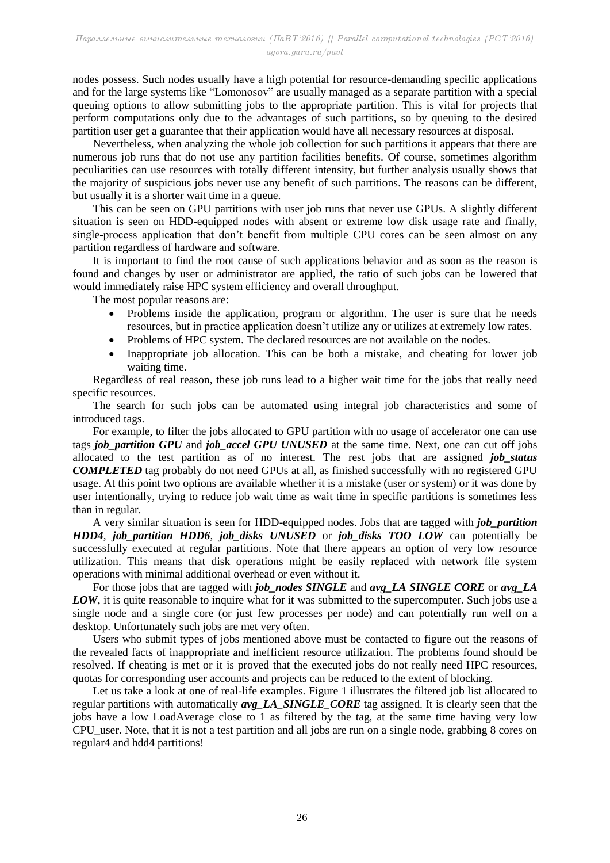nodes possess. Such nodes usually have a high potential for resource-demanding specific applications and for the large systems like "Lomonosov" are usually managed as a separate partition with a special queuing options to allow submitting jobs to the appropriate partition. This is vital for projects that perform computations only due to the advantages of such partitions, so by queuing to the desired partition user get a guarantee that their application would have all necessary resources at disposal.

Nevertheless, when analyzing the whole job collection for such partitions it appears that there are numerous job runs that do not use any partition facilities benefits. Of course, sometimes algorithm peculiarities can use resources with totally different intensity, but further analysis usually shows that the majority of suspicious jobs never use any benefit of such partitions. The reasons can be different, but usually it is a shorter wait time in a queue.

This can be seen on GPU partitions with user job runs that never use GPUs. A slightly different situation is seen on HDD-equipped nodes with absent or extreme low disk usage rate and finally, single-process application that don't benefit from multiple CPU cores can be seen almost on any partition regardless of hardware and software.

It is important to find the root cause of such applications behavior and as soon as the reason is found and changes by user or administrator are applied, the ratio of such jobs can be lowered that would immediately raise HPC system efficiency and overall throughput.

The most popular reasons are:

- Problems inside the application, program or algorithm. The user is sure that he needs resources, but in practice application doesn't utilize any or utilizes at extremely low rates.
- Problems of HPC system. The declared resources are not available on the nodes.
- Inappropriate job allocation. This can be both a mistake, and cheating for lower job waiting time.

Regardless of real reason, these job runs lead to a higher wait time for the jobs that really need specific resources.

The search for such jobs can be automated using integral job characteristics and some of introduced tags.

For example, to filter the jobs allocated to GPU partition with no usage of accelerator one can use tags *job* partition GPU and *job* accel GPU UNUSED at the same time. Next, one can cut off jobs allocated to the test partition as of no interest. The rest jobs that are assigned *job\_status COMPLETED* tag probably do not need GPUs at all, as finished successfully with no registered GPU usage. At this point two options are available whether it is a mistake (user or system) or it was done by user intentionally, trying to reduce job wait time as wait time in specific partitions is sometimes less than in regular.

A very similar situation is seen for HDD-equipped nodes. Jobs that are tagged with *job\_partition HDD4*, *job\_partition HDD6*, *job\_disks UNUSED* or *job\_disks TOO LOW* can potentially be successfully executed at regular partitions. Note that there appears an option of very low resource utilization. This means that disk operations might be easily replaced with network file system operations with minimal additional overhead or even without it.

For those jobs that are tagged with *job\_nodes SINGLE* and *avg\_LA SINGLE CORE* or *avg\_LA LOW*, it is quite reasonable to inquire what for it was submitted to the supercomputer. Such jobs use a single node and a single core (or just few processes per node) and can potentially run well on a desktop. Unfortunately such jobs are met very often.

Users who submit types of jobs mentioned above must be contacted to figure out the reasons of the revealed facts of inappropriate and inefficient resource utilization. The problems found should be resolved. If cheating is met or it is proved that the executed jobs do not really need HPC resources, quotas for corresponding user accounts and projects can be reduced to the extent of blocking.

Let us take a look at one of real-life examples. Figure 1 illustrates the filtered job list allocated to regular partitions with automatically *avg. LA SINGLE CORE* tag assigned. It is clearly seen that the jobs have a low LoadAverage close to 1 as filtered by the tag, at the same time having very low CPU\_user. Note, that it is not a test partition and all jobs are run on a single node, grabbing 8 cores on regular4 and hdd4 partitions!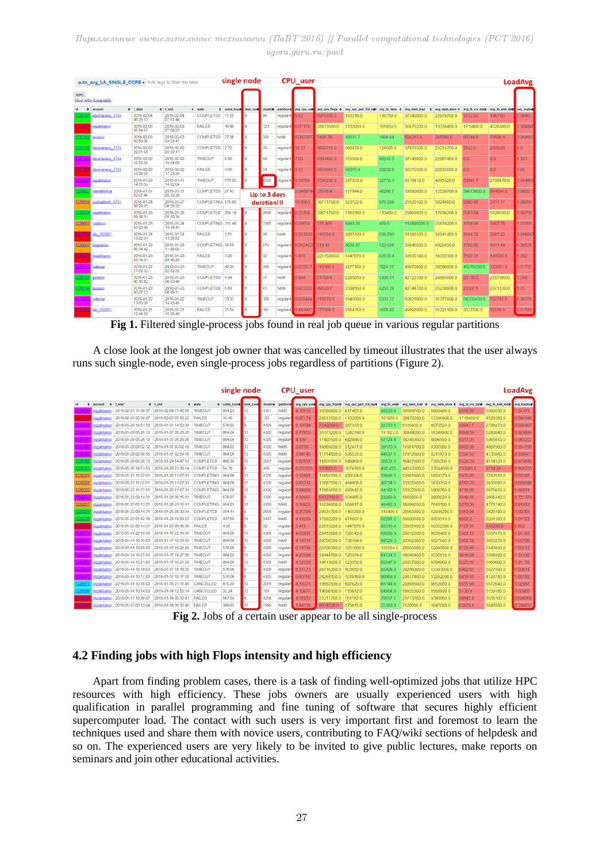Параллельные вычислительные технологии (ПаВТ'2016) || Parallel computational technologies (PCT'2016) agora.guru.ru/pavt

| auto avg LA SINGLE CORE x Add tags to filter the table |                        |                        |                        |                   |                      | single node<br><b>CPU_user</b> |          |            |             |                 |                       |              |              |                 | <b>LoadAvg</b>  |                  |             |
|--------------------------------------------------------|------------------------|------------------------|------------------------|-------------------|----------------------|--------------------------------|----------|------------|-------------|-----------------|-----------------------|--------------|--------------|-----------------|-----------------|------------------|-------------|
| query                                                  | Short table Long table |                        |                        |                   |                      |                                |          |            |             |                 |                       |              |              |                 |                 |                  |             |
| $\bullet$                                              | account                | 0 t start              | $0$ tend               | <b>0</b> state    | 0 cores hou <b>e</b> | num cord                       | duration | partitions | avg_cpu_use | avg_cpu_flops 0 | avg cpu perf 11d repl | avg lic miss | avg mem load | avg_mem_store_0 | avg ib rcv data | avg ib xmit date | avg loadave |
| 2383                                                   | edwins (TM             | 2016-02-04<br>06:25:13 | 2016-02-04<br>07:51:49 | <b>COMPLETED</b>  | 11.55                |                                | 86       | regular4   | 6.52        | 8979330.0       | 183216.0              | 118759.0     | 37346000.0   | 22979700.0      | 1732.93         | 1967.65          | 1.00467     |
| 2967                                                   | <b>Maliburgs</b>       | 2016-02-03<br>05:54:57 | 2016-02-03<br>07:58:22 | <b>FAILED</b>     | 16.46                |                                | 123      | regular4   | 6.07174     | 28813500.0      | 1132060.0             | 101059.0     | 30475200.0   | 13338400.0      | 1719400.0       | 4526380.0        | 0.994348    |
| 12373                                                  | <b>STATISTICS</b>      | 2016-02-03<br>00:59:36 | 2016-02-03<br>04:24:47 | COMPLETED         | 27.36                |                                | 205      | hdd4       | 0.092307    | 1498.76         | 30833.7               | 1890.64      | 594213.0     | 245048.0        | 80744.6         | 79506.6          | 0.994103    |
| 2371                                                   | Australia ITN          | 2016-02-02<br>22:01:55 | 2016-02-02<br>22:22:17 | <b>COMPLETED</b>  | 2.72                 | 8                              | 20       | regular4   | 10.27       | 8689710.0       | 166478.0              | 124506.0     | 37970300.0   | 23214700.0      | 2142.9          | 2049.93          | 10          |
|                                                        | Milt_annound.          | 2016-02-02<br>18:53:35 | 2016-02-02<br>19:54:02 | <b>TIMEOUT</b>    | 8.06                 | $\mathbf{R}$                   | 60       | regular4   | 7.03        | 8864480.0       | 153599.0              | 96245.3      | 37148900.0   | 22867400.0      | 0.0             | 0 <sub>0</sub>   | 1.001       |
|                                                        | Andrewina, 1714        | 2016-02-02<br>16:58:39 | 2016-02-02<br>17:33:38 | <b>FAILED</b>     | 4.66                 | 8                              | 34       | regular4   | 6.12        | 9650980.0       | 56315.4               | 20220.9      | 36315500.0   | 22835900.0      | 0.0             | 0.0              | 0.99        |
| 2353                                                   | <b>LESANDO</b>         | 2016-01-28<br>14:51:53 | 2016-01-31<br>14:52:04 | <b>TIMEOUT</b>    | 576.02               | $\mathbf{\hat{R}}$             | 4320     | regular4   | 6.19784     | 7540280.0       | 287333.0              | 32770.1      | 8116410.0    | 4075520.0       | 50941.7         | 2798470.0        | 0.994907    |
| 2360                                                   | <u>kontribus mus</u>   | 2016-01-31<br>02:07:46 | 2016-01-31<br>05:33:30 | <b>COMPLETED</b>  | 27.43                | Up to 3 days                   |          |            | 0.0489744   | 25378.4         | 177844.0              | 46266.7      | 19580800.0   | 12530700.0      | 54673600.0      | 844684.0         | 0.900513    |
| 1230559                                                | <b>STATISTIC SPIT</b>  | 2016-01-24<br>08:28:31 | 2016-01-27<br>08:28:33 | COMPLETING 576.00 |                      | duration!!!                    |          |            | 10.6563     | 36771700.0      | 323722.0              | 876.039      | 25520100.0   | 5824880.0       | 2890.48         | 2911.17          | 0.98058     |
| 12302                                                  | saddumn                | 2016-01-23<br>09:14:31 | 2016-01-25<br>05:30:34 | <b>COMPLETED</b>  | 354.14               | $\mathbf{B}$                   | 2656     | regular4   | 6.25704     | 29631700.0      | 1163360.0             | 110499.0     | 29963900.0   | 12936200.0      | 5563.94         | 5926180.0        | 1.00758     |
| 1230057                                                | متشف                   | 2016-01-23<br>03:22:49 | 2016-01-24<br>18:48:44 | COMPLETING 315.46 |                      |                                | 2365     | regular4   | 6.08654     | 311.465         | 6483.29               | 409.6        | 114895000.0  | 25839200.0      | 1704.98         | 1907.76          | 1.01085     |
| 230597                                                 | vis, 202030            | 2016-01-24<br>13:02:31 | 2016-01-24<br>13:28:52 | <b>FAILED</b>     | 3.51                 | 8                              | 26       | hdd4       | 0.253333    | 116354.0        | 2007430.0             | 539.793      | 51266300.0   | 32041400.0      | 3184.72         | 2307.22          | 0.986667    |
| 1230097                                                | <b>SARAHAN</b>         | 2016-01-23<br>06:34:42 | 2016-01-23<br>11:09:05 | COMPLETING 36.58  |                      | 8                              | 274      | regular4   | 0.0424528   | 310.48          | 8636.37               | 420.936      | 39045500.0   | 6020430.0       | 1760.95         | 1911.44          | 1.00528     |
| 23022                                                  | saabbarro              | 2016-01-23<br>09:14:31 | 2016-01-23<br>09:46:39 | <b>FAILED</b>     | 4.28                 | $\mathbf{\hat{R}}$             | 32       | regular4   | 5.418       | 22515000.0      | 1447870.0             | 83310.4      | 33935100.0   | 16352300.0      | 7107.31         | 149630.0         | 1.002       |
| 123014                                                 | تحافظت                 | 2016-01-22<br>21:52:12 | 2016-01-23<br>02:52:32 | <b>TIMEOUT</b>    | 40.04                | $\hat{R}$                      | 300      | regular4   | 0.825517    | 113100.0        | 1877160.0             | 7024.57      | 49070900.0   | 30596800.0      | 46279200.0      | 133681.0         | 1.01707     |
| 123019                                                 | <b>JANS</b>            | 2016-01-23<br>00:16:42 | 2016-01-23<br>00:53:46 | <b>COMPLETED</b>  | 4 94                 | $\dot{R}$                      | 37       | hdd4       | 0.904       | 51709.4         | 2285050.0             | 3309.51      | 42122700.0   | 24885900.0      | 25130.5         | 2207980.0        | 1.048       |
| 2301                                                   | تحصد                   | 2016-01-23<br>00:07:12 | 2016-01-23<br>00:49:11 | <b>COMPLETED</b>  | 5.60                 |                                | 41       | hdd4       | 0.923333    | 49520.7         | 2304560.0             | 4253.29      | 42744700.0   | 25238900.0      | 23307.5         | 2071330.0        | 1.03        |
|                                                        | sthou                  | 2016-01-22<br>13:03:29 | 2016-01-22<br>14:43:45 | <b>TIMEOUT</b>    | 13.37                | $\mathbf{a}$                   | 100      | regular4   | 0.639444    | 118970.0        | 1941090.0             | 5203.37      | 50921000.0   | 31777900.0      | 54200400.0      | 107747.0         | 1.00778     |
| 22923                                                  | ab. 252651             | 2016-01-21<br>12:44:15 | 2016-01-21<br>15:25:46 | <b>FAILED</b>     | 21.54                |                                | 161      | regular4   | 0.462903    | 377364.0        | 1954350.0             | 1676.62      | 49992900.0   | 31221100.0      | 3537700.0       | 32939.6          | 1.01516     |

**Fig 1.** Filtered single-process jobs found in real job queue in various regular partitions

A close look at the longest job owner that was cancelled by timeout illustrates that the user always runs such single-node, even single-process jobs regardless of partitions (Figure 2).

|         |                     |                     |                     |                   | single node          |                  |                       |            | CPU_user     |                      |                                      |              |                   |                 |                 |                  | LoadAvg     |
|---------|---------------------|---------------------|---------------------|-------------------|----------------------|------------------|-----------------------|------------|--------------|----------------------|--------------------------------------|--------------|-------------------|-----------------|-----------------|------------------|-------------|
| -91     | account<br>٠        | t start             | $0$ tend            | <b>0</b> state    | <b>4</b> cores hours | <b>rrum</b> core | duration <sup>1</sup> | partitions | avg cpu used |                      | avg_cpu_flops0 avg_cpu_perf_ffd_rep@ | avg tic mise | avg mem load<br>٠ | avg mem atore 4 | avg ib rcv data | avg ib xmit data | avg_loadavg |
|         | <b>SOAMS</b>        | 2016-02-01 11:38:57 | 2016-02-04 11:40:05 | TIMEOUT           | 864.23               | 12               | 4321                  | hdd6       | 4.15912      | 18580900.0 617467.0  |                                      | 48928.4      | 19568700.0        | 8900490.0       | 9570.56         | 5500530.0        | 101378      |
|         | <b>Military</b>     | 2016-02-03 05:54:57 | 2016-02-03 07:58:22 | FAILED            | 16.46                |                  | 123                   | regular-   | 6.07174      | 28813500.0 1132060.0 |                                      | 101059.0     | 304752000         | 13338400.0      | 1719400.0       | 4526380.0        | 0 994348    |
|         | noalton             | 2016-01-28 14:51:53 | 2016-01-31 14:52:04 | TIMEOUT           | 576.02               |                  | 4320                  | regular-   | 6 19784      | 7540280.0            | 287333.0                             | 32770        | 8116410.0         | 4075520.0       | 50941.7         | 2798470.0        | 0.994901    |
|         | nost tuni           | 2016-01-28 05:26:13 | 2016-01-31 05:26:26 | TIMEOUT           | 864.04               | 12               | 4320                  | regular    | 8 7 7 8 5 5  | 35173200.0 1282790.0 |                                      | 111023.0     | 368442000         | 16344900.0      | 6099.59         | 5280840.0        | 0 929849    |
|         | <b>COMMON</b>       | 2016-01-28 05:26:13 | 2016-01-31 05:26:26 | TIMEOUT           | 864.04               | 12               | 4320                  | regular    | 4.186        | 17402500.0 642886.0  |                                      | 57124.4      | 18246300.0        | 8096580.0       | 6317.03         | 5365910.0        | 0.943202    |
|         | <b>GOALS</b> ON     | 2016-01-28 03:02:12 | 2016-01-31 03:02:18 | TIMEOUT           | 864.02               | 12               | 4320                  | hdd6       | 38758        | 16865000.0 512477.0  |                                      | 39170.0      | 17881700.0        | 8301980.0       | 8482.06         | 4987560.0        | 0.951705    |
|         | nsektoni            | 2016-01-28 02:58:55 | 2016-01-31 02:59:18 | TIMEOUT           | 864.08               | 12               | 4320                  | hdd6       | 3 84146      | 17714600.0           | 596533.0                             | 44937        | 17912600.0        | 8211870.0       | 7297 53         | 4735980.0        | 0.93997     |
| 2353    | nashin              | 2016-01-28 05:26:13 | 2016-01-29 14:47:57 | COMPLETED         | 400.35               | 12.              | 2001                  | regular    | 382857       | 14801900.0 549469.0  |                                      | 36831.0      | 16487800.0        | 7705300.0       | 8528 29         | 4514320.0        | 0 879849    |
| 2353    | souther             | 2016-01-28 14:51:53 | 2016-01-28 21:38:14 | COMPLETED         | 54.18                |                  | 406                   | regular    | 0.232025     | 1018890              | 1674760.0                            | 426 425      | 44143200.0        | 27594000.0      | 2333850         | 2114.24          | 0 86620     |
| 123021  | soulton             | 2016-01-23 11:07:01 | 2016-01-26 11:07:01 | COMPLETING        | 864.00               | 12               | 4320                  | regular    | 3 12061      | 11653100.0 430194.0  |                                      | 33646.2      | 12861800.0        | 5889370.0       | 5031.85         | 3782510.0        | 0.68348     |
| 1230226 | 108,500             | 2016-01-23 11:07:01 | 2016-01-26 11:07:01 | <b>COMPLETING</b> | 864.00               | 12               | 4320                  | regular    | 283212       | 12887500.0 464008.0  |                                      | 40734.5      | 13325100.0        | 5830350.0       | 4762.23         | 3930580.0        | 0.680046    |
| 1230222 | ostan               | 2016-01-23 11:07:01 | 2016-01-26 11:07:01 | COMPLETING        | 864.00               | 12               | 4320                  | regular    | 3.04609      | 12865600.0 490842.0  |                                      | 44162        | 13322300.0        | 5808760.0       | 4718.03         | 3975610.0        | 1 66074     |
|         | scalifico           | 2016-01-23 09:14:31 | 2016-01-26 09:15:01 | TIMEOUT           | 576.07               |                  | 4320                  | regular    | 4.33655      | 54327600             | 204065.0                             | 23269.9      | 5665850.0         | 2800020.0       | 3349.31         | 2095440.0        | 0.72137     |
| 123821  | <b>STARTING</b>     | 2016-01-23 01:13:21 | 2016-01-26 01:13:31 | <b>COMPLETING</b> | 864.03               | 12               | 4320                  | hdd93      | 3 36 6 25    | 15536600.0 556017.0  |                                      | 46465.0      | 15998200.0        | 7040100.0       | 5270.36         | 4771740.0        | 081913      |
| 23022   | soulton             | 2016-01-23 09:14:31 | 2016-01-25 05:30:34 | COMPLETED         | 354.14               |                  | 2656                  | regular    | 6,25704      | 29631700.0 1163360.0 |                                      | 110499.0     | 29963900.0        | 12936200.0      | 5563.94         | 5926180.0        | 1.00758     |
| 23022   | souther             | 2016-01-23 01:42:10 | 2016-01-24 19:09:57 | COMPLETED         | 497.56               | 12               | 2487                  | hdd6       | 4 19259      | 17882200.0 671697.0  |                                      | 52291.5      | 19600100.0        | 8959310.0       | 60022           | 6291390.0        | 1.01723     |
|         | souther             | 2016-01-23 09:14:31 | 2016-01-23 09:46:39 | FAILED            | 4.28                 |                  | 32                    | regular-   | 5:418        | 22515000.0 1447870.0 |                                      | 83310.4      | 33935100.0        | 16352300.0      | 7107.31         | 149630.0         | 1.002       |
|         | nostra              | 2016-01-14 22:18:39 | 2016-01-17 22:18:58 | TIMEOUT           | 864.06               | 12               | 4320                  | regular    | 4 63891      | 20412900.0 729143.0  |                                      | 68086.3      | 20612200.0        | 9038480.0       | 5362.19         | 5557470.0        | 1.01106     |
|         | rabilitan           | 2016-01-14 10:33:03 | 2016-01-17 10:33:28 | TIMEOUT           | 864.08               | 12               | 4320                  | hdd5       | 4 14311      | 205565000 7361840    |                                      | 69529.3      | 20302000.0        | 8827940.0       | 5982.59         | 5083250.0        | 1.00708     |
|         | <b>COAL FORD</b>    | 2016-01-14 10:29:03 | 2016-01-17 10:29:28 | TIMEOUT           | 576.06               |                  | 4320                  | regular-   | 6.14744      | 28706300.0           | 1051800.0                            | 105584.0     | 29685900.0        | 12895800.0      | 6108 46         | 5543890.0        | 1.00313     |
|         | <b>GOASSIL</b>      | 2016-01-14 10:27:03 | 2016-01-17 10:27:28 | TIMEOUT           | 864.08               | 12               | 4320                  | regular    | 420599       | 19444700.0 725574.0  |                                      | 64734.5      | 19696400.0        | 85328100        | 6016.08         | 5398490.0        | 1 01332     |
|         | nosta               | 2016-01-14 10:21:03 | 2016-01-17 10:21:28 | TIMEOUT           | 864.08               | 12               | 4320                  | hdd6       | 4.12558      | 19613900.0           | 723350.0                             | 65947.4      | 20077000.0        | 8794960.0       | 6225 52         | 5569600.0        | 1.01158     |
|         | novities            | 2016-01-14 10:19:03 | 2016-01-17 10:19:28 | TIMEOUT           | 576.06               |                  | 4320                  | regular    | 6.31773      | 26716300.0 903650.0  |                                      | 85406.0      | 29256300.0        | 13303000.0      | 6462.67         | 5527590.0        | 1.00614     |
|         | noktion             | 2016-01-14 10:17:03 | 2016-01-17 10:17:28 | TIMEOUT           | 576.06               |                  | 4320                  | regular-   | 6 80768      | 28269100.0 1019160.0 |                                      | 96569.8      | 29877400.0        | 13262000.0      | 6019.81         | 4728780.0        | 1 00182     |
| 2203    | ncalificos          | 2016-01-14 10:35:03 | 2016-01-15 21:11:48 | CANCELLED         | 415.35               | 12               | 2076                  | regulari   | 4:18375      | 19663500.0 697625.0  |                                      | 65144.6      | 20068600.0        | 8652860.0       | 655198          | 5572640.0        | 1.02867     |
| 226     | noktus              | 2016-01-14 10:14:03 | 2016-01-14 12:55:14 | CANCELLED         | 32.24                | 12               | 161                   | regular    | 4.10677      | 19690100.0 715612.0  |                                      | 649646       | 19935300.0        | 8568990.0       | 51369           | 5159180.0        | 1.00065     |
|         | southe              | 2016-01-11 10:36:07 | 2016-01-14 09:32:41 | FAILED            | 567.54               |                  | 4256                  | regular-   | 4:31072      | 22211700.0           | 761182.0                             | 76557        | 217132000         | 9393860.0       | 34642.4         | 3535160.0        | 0.698068    |
|         | <b>SOART SOFTEN</b> | 2016-01-13 00:13:04 | 2016-01-14 09:32 40 | <b>FAILED</b>     | 399.92               | 12               | 1999                  | hddB       | 1:44131      | 8034220.0            | 275615.0                             | 25363.3      | 7120080.0         | 3047080.0       | 33879.8         | 1847890.0        | 0.396633    |

**Fig 2.** Jobs of a certain user appear to be all single-process

### **4.2 Finding jobs with high Flops intensity and high efficiency**

Apart from finding problem cases, there is a task of finding well-optimized jobs that utilize HPC resources with high efficiency. These jobs owners are usually experienced users with high qualification in parallel programming and fine tuning of software that secures highly efficient supercomputer load. The contact with such users is very important first and foremost to learn the techniques used and share them with novice users, contributing to FAQ/wiki sections of helpdesk and so on. The experienced users are very likely to be invited to give public lectures, make reports on seminars and join other educational activities.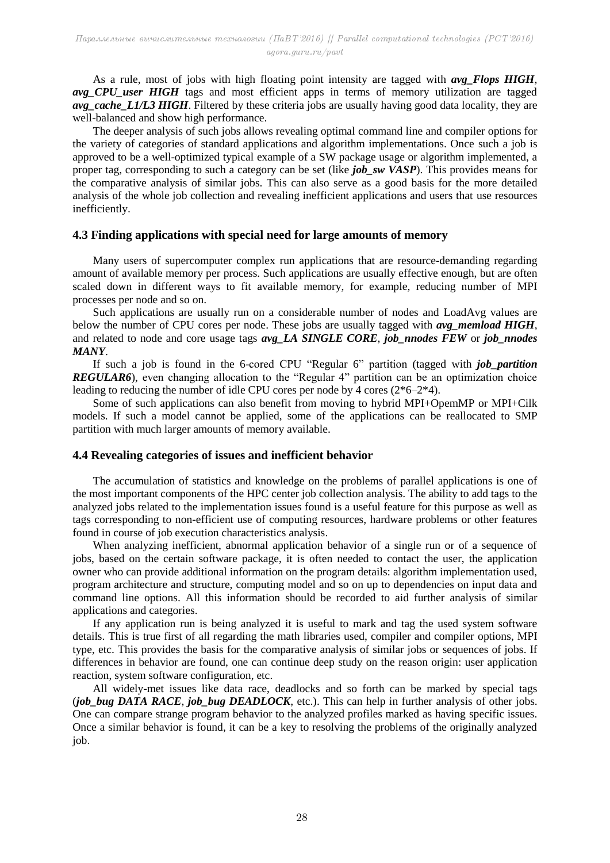As a rule, most of jobs with high floating point intensity are tagged with *avg\_Flops HIGH*, *avg* CPU user HIGH tags and most efficient apps in terms of memory utilization are tagged *avg\_cache\_L1/L3 HIGH*. Filtered by these criteria jobs are usually having good data locality, they are well-balanced and show high performance.

The deeper analysis of such jobs allows revealing optimal command line and compiler options for the variety of categories of standard applications and algorithm implementations. Once such a job is approved to be a well-optimized typical example of a SW package usage or algorithm implemented, a proper tag, corresponding to such a category can be set (like *job\_sw VASP*). This provides means for the comparative analysis of similar jobs. This can also serve as a good basis for the more detailed analysis of the whole job collection and revealing inefficient applications and users that use resources inefficiently.

#### **4.3 Finding applications with special need for large amounts of memory**

Many users of supercomputer complex run applications that are resource-demanding regarding amount of available memory per process. Such applications are usually effective enough, but are often scaled down in different ways to fit available memory, for example, reducing number of MPI processes per node and so on.

Such applications are usually run on a considerable number of nodes and LoadAvg values are below the number of CPU cores per node. These jobs are usually tagged with *avg\_memload HIGH*, and related to node and core usage tags *avg\_LA SINGLE CORE*, *job\_nnodes FEW* or *job\_nnodes MANY*.

If such a job is found in the 6-cored CPU "Regular 6" partition (tagged with *job\_partition REGULAR6*), even changing allocation to the "Regular 4" partition can be an optimization choice leading to reducing the number of idle CPU cores per node by 4 cores (2\*6–2\*4).

Some of such applications can also benefit from moving to hybrid MPI+OpemMP or MPI+Cilk models. If such a model cannot be applied, some of the applications can be reallocated to SMP partition with much larger amounts of memory available.

### **4.4 Revealing categories of issues and inefficient behavior**

The accumulation of statistics and knowledge on the problems of parallel applications is one of the most important components of the HPC center job collection analysis. The ability to add tags to the analyzed jobs related to the implementation issues found is a useful feature for this purpose as well as tags corresponding to non-efficient use of computing resources, hardware problems or other features found in course of job execution characteristics analysis.

When analyzing inefficient, abnormal application behavior of a single run or of a sequence of jobs, based on the certain software package, it is often needed to contact the user, the application owner who can provide additional information on the program details: algorithm implementation used, program architecture and structure, computing model and so on up to dependencies on input data and command line options. All this information should be recorded to aid further analysis of similar applications and categories.

If any application run is being analyzed it is useful to mark and tag the used system software details. This is true first of all regarding the math libraries used, compiler and compiler options, MPI type, etc. This provides the basis for the comparative analysis of similar jobs or sequences of jobs. If differences in behavior are found, one can continue deep study on the reason origin: user application reaction, system software configuration, etc.

All widely-met issues like data race, deadlocks and so forth can be marked by special tags (*job\_bug DATA RACE*, *job\_bug DEADLOCK*, etc.). This can help in further analysis of other jobs. One can compare strange program behavior to the analyzed profiles marked as having specific issues. Once a similar behavior is found, it can be a key to resolving the problems of the originally analyzed job.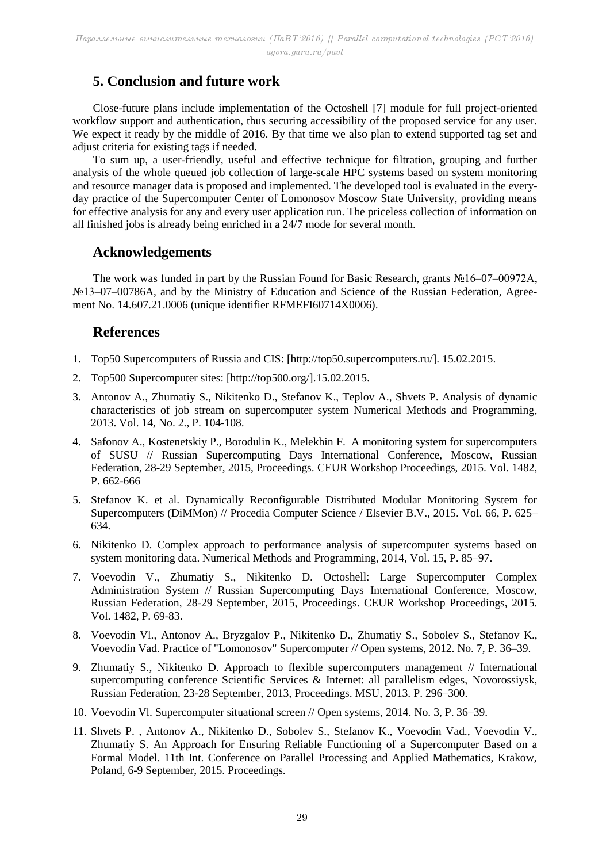# **5. Conclusion and future work**

Close-future plans include implementation of the Octoshell [7] module for full project-oriented workflow support and authentication, thus securing accessibility of the proposed service for any user. We expect it ready by the middle of 2016. By that time we also plan to extend supported tag set and adjust criteria for existing tags if needed.

To sum up, a user-friendly, useful and effective technique for filtration, grouping and further analysis of the whole queued job collection of large-scale HPC systems based on system monitoring and resource manager data is proposed and implemented. The developed tool is evaluated in the everyday practice of the Supercomputer Center of Lomonosov Moscow State University, providing means for effective analysis for any and every user application run. The priceless collection of information on all finished jobs is already being enriched in a 24/7 mode for several month.

## **Acknowledgements**

The work was funded in part by the Russian Found for Basic Research, grants №16–07–00972А, №13–07–00786A, and by the Ministry of Education and Science of the Russian Federation, Agreement No. 14.607.21.0006 (unique identifier RFMEFI60714X0006).

## **References**

- 1. Top50 Supercomputers of Russia and CIS: [http://top50.supercomputers.ru/]. 15.02.2015.
- 2. Top500 Supercomputer sites: [http://top500.org/].15.02.2015.
- 3. Antonov A., Zhumatiy S., Nikitenko D., Stefanov K., Teplov A., Shvets P. Analysis of dynamic characteristics of job stream on supercomputer system Numerical Methods and Programming, 2013. Vol. 14, No. 2., P. 104-108.
- 4. Safonov A., Kostenetskiy P., Borodulin K., Melekhin F. A monitoring system for supercomputers of SUSU // Russian Supercomputing Days International Conference, Moscow, Russian Federation, 28-29 September, 2015, Proceedings. CEUR Workshop Proceedings, 2015. Vol. 1482, P. 662-666
- 5. Stefanov K. et al. Dynamically Reconfigurable Distributed Modular Monitoring System for Supercomputers (DiMMon) // Procedia Computer Science / Elsevier B.V., 2015. Vol. 66, P. 625– 634.
- 6. Nikitenko D. Complex approach to performance analysis of supercomputer systems based on system monitoring data. Numerical Methods and Programming, 2014, Vol. 15, P. 85–97.
- 7. Voevodin V., Zhumatiy S., Nikitenko D. Octoshell: Large Supercomputer Complex Administration System // Russian Supercomputing Days International Conference, Moscow, Russian Federation, 28-29 September, 2015, Proceedings. CEUR Workshop Proceedings, 2015. Vol. 1482, P. 69-83.
- 8. Voevodin Vl., Antonov A., Bryzgalov P., Nikitenko D., Zhumatiy S., Sobolev S., Stefanov K., Voevodin Vad. Practice of "Lomonosov" Supercomputer // Open systems, 2012. No. 7, P. 36–39.
- 9. Zhumatiy S., Nikitenko D. Approach to flexible supercomputers management // International supercomputing conference Scientific Services & Internet: all parallelism edges, Novorossiysk, Russian Federation, 23-28 September, 2013, Proceedings. MSU, 2013. P. 296–300.
- 10. Voevodin Vl. Supercomputer situational screen // Open systems, 2014. No. 3, P. 36–39.
- 11. Shvets P. , Antonov A., Nikitenko D., Sobolev S., Stefanov K., Voevodin Vad., Voevodin V., Zhumatiy S. An Approach for Ensuring Reliable Functioning of a Supercomputer Based on a Formal Model. 11th Int. Conference on Parallel Processing and Applied Mathematics, Krakow, Poland, 6-9 September, 2015. Proceedings.